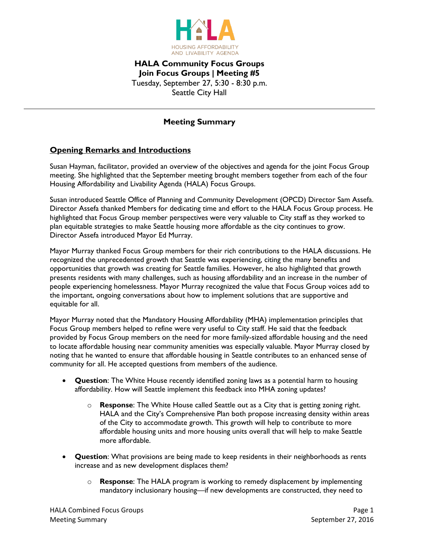

## **HALA Community Focus Groups Join Focus Groups | Meeting #5** Tuesday, September 27, 5:30 - 8:30 p.m. Seattle City Hall

## **Meeting Summary**

## **Opening Remarks and Introductions**

Susan Hayman, facilitator, provided an overview of the objectives and agenda for the joint Focus Group meeting. She highlighted that the September meeting brought members together from each of the four Housing Affordability and Livability Agenda (HALA) Focus Groups.

Susan introduced Seattle Office of Planning and Community Development (OPCD) Director Sam Assefa. Director Assefa thanked Members for dedicating time and effort to the HALA Focus Group process. He highlighted that Focus Group member perspectives were very valuable to City staff as they worked to plan equitable strategies to make Seattle housing more affordable as the city continues to grow. Director Assefa introduced Mayor Ed Murray.

Mayor Murray thanked Focus Group members for their rich contributions to the HALA discussions. He recognized the unprecedented growth that Seattle was experiencing, citing the many benefits and opportunities that growth was creating for Seattle families. However, he also highlighted that growth presents residents with many challenges, such as housing affordability and an increase in the number of people experiencing homelessness. Mayor Murray recognized the value that Focus Group voices add to the important, ongoing conversations about how to implement solutions that are supportive and equitable for all.

Mayor Murray noted that the Mandatory Housing Affordability (MHA) implementation principles that Focus Group members helped to refine were very useful to City staff. He said that the feedback provided by Focus Group members on the need for more family-sized affordable housing and the need to locate affordable housing near community amenities was especially valuable. Mayor Murray closed by noting that he wanted to ensure that affordable housing in Seattle contributes to an enhanced sense of community for all. He accepted questions from members of the audience.

- **Question**: The White House recently identified zoning laws as a potential harm to housing affordability. How will Seattle implement this feedback into MHA zoning updates?
	- o **Response**: The White House called Seattle out as a City that is getting zoning right. HALA and the City's Comprehensive Plan both propose increasing density within areas of the City to accommodate growth. This growth will help to contribute to more affordable housing units and more housing units overall that will help to make Seattle more affordable.
- **Question**: What provisions are being made to keep residents in their neighborhoods as rents increase and as new development displaces them?
	- o **Response**: The HALA program is working to remedy displacement by implementing mandatory inclusionary housing—if new developments are constructed, they need to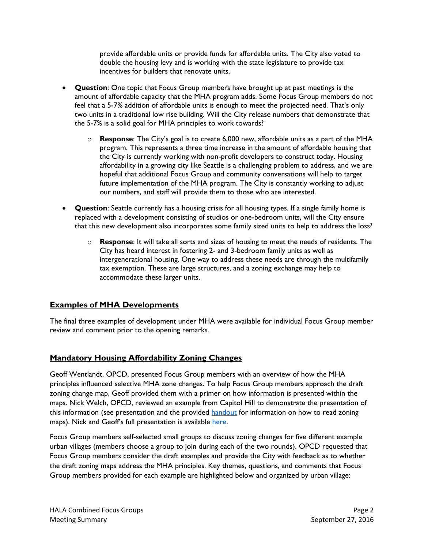provide affordable units or provide funds for affordable units. The City also voted to double the housing levy and is working with the state legislature to provide tax incentives for builders that renovate units.

- **Question**: One topic that Focus Group members have brought up at past meetings is the amount of affordable capacity that the MHA program adds. Some Focus Group members do not feel that a 5-7% addition of affordable units is enough to meet the projected need. That's only two units in a traditional low rise building. Will the City release numbers that demonstrate that the 5-7% is a solid goal for MHA principles to work towards?
	- o **Response**: The City's goal is to create 6,000 new, affordable units as a part of the MHA program. This represents a three time increase in the amount of affordable housing that the City is currently working with non-profit developers to construct today. Housing affordability in a growing city like Seattle is a challenging problem to address, and we are hopeful that additional Focus Group and community conversations will help to target future implementation of the MHA program. The City is constantly working to adjust our numbers, and staff will provide them to those who are interested.
- **Question**: Seattle currently has a housing crisis for all housing types. If a single family home is replaced with a development consisting of studios or one-bedroom units, will the City ensure that this new development also incorporates some family sized units to help to address the loss?
	- o **Response**: It will take all sorts and sizes of housing to meet the needs of residents. The City has heard interest in fostering 2- and 3-bedroom family units as well as intergenerational housing. One way to address these needs are through the multifamily tax exemption. These are large structures, and a zoning exchange may help to accommodate these larger units.

## **Examples of MHA Developments**

The final three examples of development under MHA were available for individual Focus Group member review and comment prior to the opening remarks.

# **Mandatory Housing Affordability Zoning Changes**

Geoff Wentlandt, OPCD, presented Focus Group members with an overview of how the MHA principles influenced selective MHA zone changes. To help Focus Group members approach the draft zoning change map, Geoff provided them with a primer on how information is presented within the maps. Nick Welch, OPCD, reviewed an example from Capitol Hill to demonstrate the presentation of this information (see presentation and the provided [handout](http://www.seattle.gov/Documents/Departments/HALA/FocusGroups/September/MHA_rezone_mapping_how_to_read_the_maps.pdf) for information on how to read zoning maps). Nick and Geoff's full presentation is available [here.](http://www.seattle.gov/Documents/Departments/HALA/FocusGroups/September/2016_0927%20HALA%20Focus%20Group%20Meeting.pdf)

Focus Group members self-selected small groups to discuss zoning changes for five different example urban villages (members choose a group to join during each of the two rounds). OPCD requested that Focus Group members consider the draft examples and provide the City with feedback as to whether the draft zoning maps address the MHA principles. Key themes, questions, and comments that Focus Group members provided for each example are highlighted below and organized by urban village: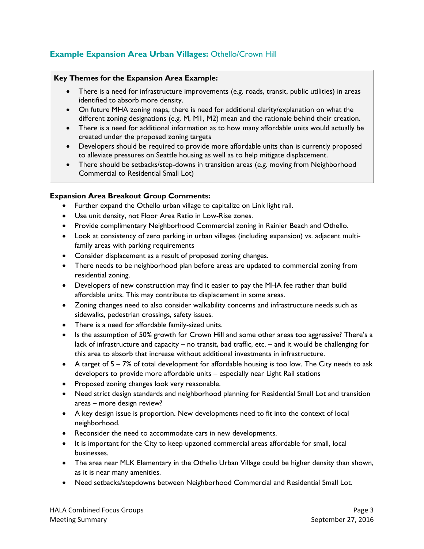# **Example Expansion Area Urban Villages:** Othello/Crown Hill

#### **Key Themes for the Expansion Area Example:**

- There is a need for infrastructure improvements (e.g. roads, transit, public utilities) in areas identified to absorb more density.
- On future MHA zoning maps, there is need for additional clarity/explanation on what the different zoning designations (e.g. M, M1, M2) mean and the rationale behind their creation.
- There is a need for additional information as to how many affordable units would actually be created under the proposed zoning targets
- Developers should be required to provide more affordable units than is currently proposed to alleviate pressures on Seattle housing as well as to help mitigate displacement.
- There should be setbacks/step-downs in transition areas (e.g. moving from Neighborhood Commercial to Residential Small Lot)

#### **Expansion Area Breakout Group Comments:**

- Further expand the Othello urban village to capitalize on Link light rail.
- Use unit density, not Floor Area Ratio in Low-Rise zones.
- Provide complimentary Neighborhood Commercial zoning in Rainier Beach and Othello.
- Look at consistency of zero parking in urban villages (including expansion) vs. adjacent multifamily areas with parking requirements
- Consider displacement as a result of proposed zoning changes.
- There needs to be neighborhood plan before areas are updated to commercial zoning from residential zoning.
- Developers of new construction may find it easier to pay the MHA fee rather than build affordable units. This may contribute to displacement in some areas.
- Zoning changes need to also consider walkability concerns and infrastructure needs such as sidewalks, pedestrian crossings, safety issues.
- There is a need for affordable family-sized units.
- Is the assumption of 50% growth for Crown Hill and some other areas too aggressive? There's a lack of infrastructure and capacity – no transit, bad traffic, etc. – and it would be challenging for this area to absorb that increase without additional investments in infrastructure.
- A target of 5 7% of total development for affordable housing is too low. The City needs to ask developers to provide more affordable units – especially near Light Rail stations
- Proposed zoning changes look very reasonable.
- Need strict design standards and neighborhood planning for Residential Small Lot and transition areas – more design review?
- A key design issue is proportion. New developments need to fit into the context of local neighborhood.
- Reconsider the need to accommodate cars in new developments.
- It is important for the City to keep upzoned commercial areas affordable for small, local businesses.
- The area near MLK Elementary in the Othello Urban Village could be higher density than shown, as it is near many amenities.
- Need setbacks/stepdowns between Neighborhood Commercial and Residential Small Lot.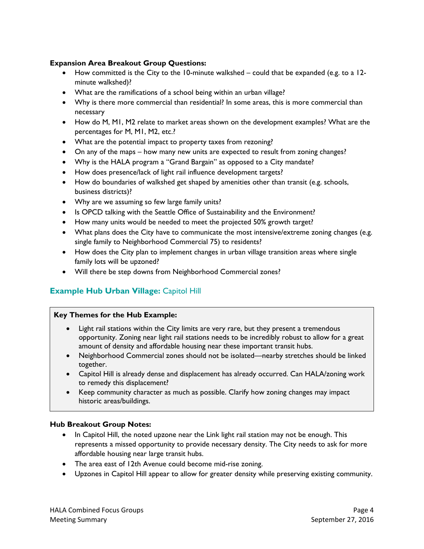## **Expansion Area Breakout Group Questions:**

- How committed is the City to the 10-minute walkshed could that be expanded (e.g. to a 12 minute walkshed)?
- What are the ramifications of a school being within an urban village?
- Why is there more commercial than residential? In some areas, this is more commercial than necessary
- How do M, M1, M2 relate to market areas shown on the development examples? What are the percentages for M, M1, M2, etc.?
- What are the potential impact to property taxes from rezoning?
- On any of the maps how many new units are expected to result from zoning changes?
- Why is the HALA program a "Grand Bargain" as opposed to a City mandate?
- How does presence/lack of light rail influence development targets?
- How do boundaries of walkshed get shaped by amenities other than transit (e.g. schools, business districts)?
- Why are we assuming so few large family units?
- Is OPCD talking with the Seattle Office of Sustainability and the Environment?
- How many units would be needed to meet the projected 50% growth target?
- What plans does the City have to communicate the most intensive/extreme zoning changes (e.g. single family to Neighborhood Commercial 75) to residents?
- How does the City plan to implement changes in urban village transition areas where single family lots will be upzoned?
- Will there be step downs from Neighborhood Commercial zones?

# **Example Hub Urban Village: Capitol Hill**

#### **Key Themes for the Hub Example:**

- Light rail stations within the City limits are very rare, but they present a tremendous opportunity. Zoning near light rail stations needs to be incredibly robust to allow for a great amount of density and affordable housing near these important transit hubs.
- Neighborhood Commercial zones should not be isolated—nearby stretches should be linked together.
- Capitol Hill is already dense and displacement has already occurred. Can HALA/zoning work to remedy this displacement?
- Keep community character as much as possible. Clarify how zoning changes may impact historic areas/buildings.

#### **Hub Breakout Group Notes:**

- In Capitol Hill, the noted upzone near the Link light rail station may not be enough. This represents a missed opportunity to provide necessary density. The City needs to ask for more affordable housing near large transit hubs.
- The area east of 12th Avenue could become mid-rise zoning.
- Upzones in Capitol Hill appear to allow for greater density while preserving existing community.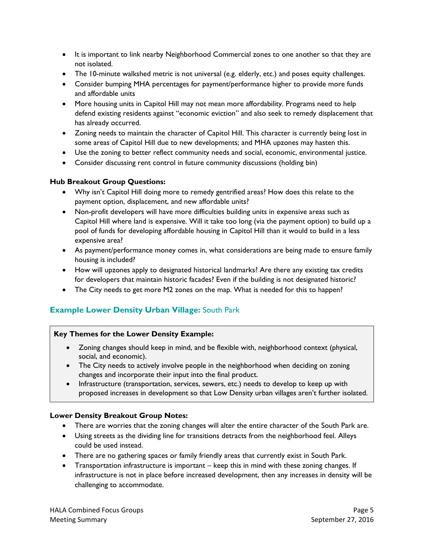- It is important to link nearby Neighborhood Commercial zones to one another so that they are not isolated.
- The 10-minute walkshed metric is not universal (e.g. elderly, etc.) and poses equity challenges.
- Consider bumping MHA percentages for payment/performance higher to provide more funds and affordable units
- More housing units in Capitol Hill may not mean more affordability. Programs need to help defend existing residents against "economic eviction" and also seek to remedy displacement that has already occurred.
- Zoning needs to maintain the character of Capitol Hill. This character is currently being lost in some areas of Capitol Hill due to new developments; and MHA upzones may hasten this.
- Use the zoning to better reflect community needs and social, economic, environmental justice.
- Consider discussing rent control in future community discussions (holding bin)

## **Hub Breakout Group Questions:**

- Why isn't Capitol Hill doing more to remedy gentrified areas? How does this relate to the payment option, displacement, and new affordable units?
- Non-profit developers will have more difficulties building units in expensive areas such as Capitol Hill where land is expensive. Will it take too long (via the payment option) to build up a pool of funds for developing affordable housing in Capitol Hill than it would to build in a less expensive area?
- As payment/performance money comes in, what considerations are being made to ensure family housing is included?
- How will upzones apply to designated historical landmarks? Are there any existing tax credits for developers that maintain historic facades? Even if the building is not designated historic?
- The City needs to get more M2 zones on the map. What is needed for this to happen?

# **Example Lower Density Urban Village:** South Park

## **Key Themes for the Lower Density Example:**

- Zoning changes should keep in mind, and be flexible with, neighborhood context (physical, social, and economic).
- The City needs to actively involve people in the neighborhood when deciding on zoning changes and incorporate their input into the final product.
- Infrastructure (transportation, services, sewers, etc.) needs to develop to keep up with proposed increases in development so that Low Density urban villages aren't further isolated.

## **Lower Density Breakout Group Notes:**

- There are worries that the zoning changes will alter the entire character of the South Park are.
- Using streets as the dividing line for transitions detracts from the neighborhood feel. Alleys could be used instead.
- There are no gathering spaces or family friendly areas that currently exist in South Park.
- Transportation infrastructure is important keep this in mind with these zoning changes. If infrastructure is not in place before increased development, then any increases in density will be challenging to accommodate.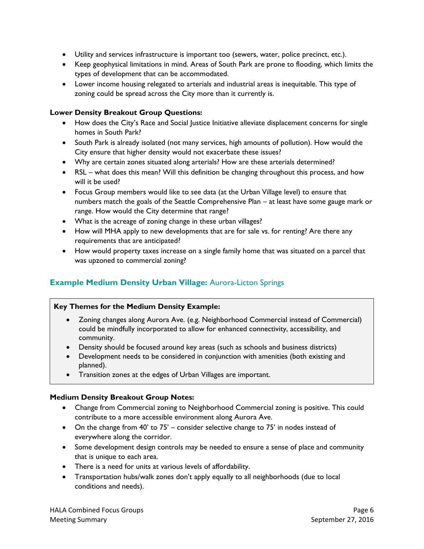- Utility and services infrastructure is important too (sewers, water, police precinct, etc.).
- Keep geophysical limitations in mind. Areas of South Park are prone to flooding, which limits the types of development that can be accommodated.
- Lower income housing relegated to arterials and industrial areas is inequitable. This type of zoning could be spread across the City more than it currently is.

#### **Lower Density Breakout Group Questions:**

- How does the City's Race and Social Justice Initiative alleviate displacement concerns for single homes in South Park?
- South Park is already isolated (not many services, high amounts of pollution). How would the City ensure that higher density would not exacerbate these issues?
- Why are certain zones situated along arterials? How are these arterials determined?
- RSL what does this mean? Will this definition be changing throughout this process, and how will it be used?
- Focus Group members would like to see data (at the Urban Village level) to ensure that numbers match the goals of the Seattle Comprehensive Plan – at least have some gauge mark or range. How would the City determine that range?
- What is the acreage of zoning change in these urban villages?
- How will MHA apply to new developments that are for sale vs. for renting? Are there any requirements that are anticipated?
- How would property taxes increase on a single family home that was situated on a parcel that was upzoned to commercial zoning?

# **Example Medium Density Urban Village:** Aurora-Licton Springs

#### **Key Themes for the Medium Density Example:**

- Zoning changes along Aurora Ave. (e.g. Neighborhood Commercial instead of Commercial) could be mindfully incorporated to allow for enhanced connectivity, accessibility, and community.
- Density should be focused around key areas (such as schools and business districts)
- Development needs to be considered in conjunction with amenities (both existing and planned).
- Transition zones at the edges of Urban Villages are important.

#### **Medium Density Breakout Group Notes:**

- Change from Commercial zoning to Neighborhood Commercial zoning is positive. This could contribute to a more accessible environment along Aurora Ave.
- On the change from 40' to 75' consider selective change to 75' in nodes instead of everywhere along the corridor.
- Some development design controls may be needed to ensure a sense of place and community that is unique to each area.
- There is a need for units at various levels of affordability.
- Transportation hubs/walk zones don't apply equally to all neighborhoods (due to local conditions and needs).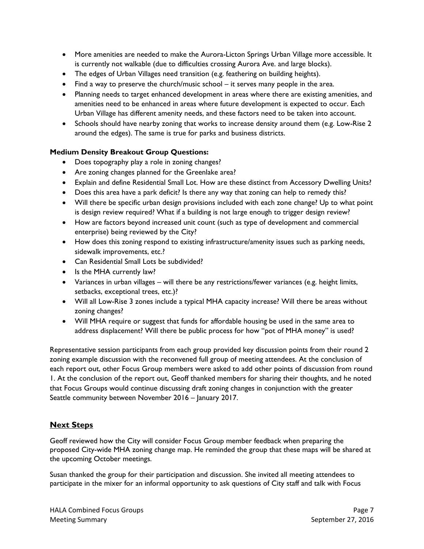- More amenities are needed to make the Aurora-Licton Springs Urban Village more accessible. It is currently not walkable (due to difficulties crossing Aurora Ave. and large blocks).
- The edges of Urban Villages need transition (e.g. feathering on building heights).
- Find a way to preserve the church/music school it serves many people in the area.
- Planning needs to target enhanced development in areas where there are existing amenities, and amenities need to be enhanced in areas where future development is expected to occur. Each Urban Village has different amenity needs, and these factors need to be taken into account.
- Schools should have nearby zoning that works to increase density around them (e.g. Low-Rise 2) around the edges). The same is true for parks and business districts.

#### **Medium Density Breakout Group Questions:**

- Does topography play a role in zoning changes?
- Are zoning changes planned for the Greenlake area?
- Explain and define Residential Small Lot. How are these distinct from Accessory Dwelling Units?
- Does this area have a park deficit? Is there any way that zoning can help to remedy this?
- Will there be specific urban design provisions included with each zone change? Up to what point is design review required? What if a building is not large enough to trigger design review?
- How are factors beyond increased unit count (such as type of development and commercial enterprise) being reviewed by the City?
- How does this zoning respond to existing infrastructure/amenity issues such as parking needs, sidewalk improvements, etc.?
- Can Residential Small Lots be subdivided?
- Is the MHA currently law?
- Variances in urban villages will there be any restrictions/fewer variances (e.g. height limits, setbacks, exceptional trees, etc.)?
- Will all Low-Rise 3 zones include a typical MHA capacity increase? Will there be areas without zoning changes?
- Will MHA require or suggest that funds for affordable housing be used in the same area to address displacement? Will there be public process for how "pot of MHA money" is used?

Representative session participants from each group provided key discussion points from their round 2 zoning example discussion with the reconvened full group of meeting attendees. At the conclusion of each report out, other Focus Group members were asked to add other points of discussion from round 1. At the conclusion of the report out, Geoff thanked members for sharing their thoughts, and he noted that Focus Groups would continue discussing draft zoning changes in conjunction with the greater Seattle community between November 2016 – January 2017.

# **Next Steps**

Geoff reviewed how the City will consider Focus Group member feedback when preparing the proposed City-wide MHA zoning change map. He reminded the group that these maps will be shared at the upcoming October meetings.

Susan thanked the group for their participation and discussion. She invited all meeting attendees to participate in the mixer for an informal opportunity to ask questions of City staff and talk with Focus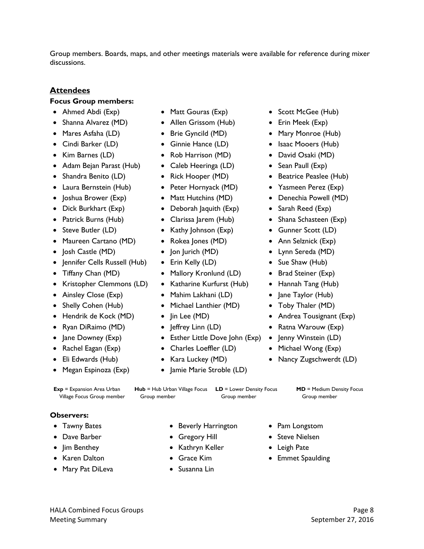Group members. Boards, maps, and other meetings materials were available for reference during mixer discussions.

# **Attendees**

## **Focus Group members:**

- 
- Shanna Alvarez (MD) Allen Grissom (Hub) Erin Meek (Exp)
- 
- 
- 
- Adam Bejan Parast (Hub) Caleb Heeringa (LD) Sean Paull (Exp)
- 
- Laura Bernstein (Hub) Peter Hornyack (MD) Yasmeen Perez (Exp)
- 
- 
- 
- 
- Maureen Cartano (MD) Rokea Jones (MD) Ann Selznick (Exp)
- Josh Castle (MD) Jon Jurich (MD) Lynn Sereda (MD)
- Jennifer Cells Russell (Hub) Erin Kelly (LD) Sue Shaw (Hub)
- 
- Kristopher Clemmons (LD) Katharine Kurfurst (Hub) Hannah Tang (Hub)
- 
- 
- 
- Ryan DiRaimo (MD) Jeffrey Linn (LD) Ratna Warouw (Exp)
- 
- 
- 
- 
- -
	-
	-
	-
	-
	-
	-
	-
- Dick Burkhart (Exp) Deborah Jaquith (Exp) Sarah Reed (Exp)
	-
- Steve Butler (LD) Kathy Johnson (Exp) Gunner Scott (LD)
	-
	-
	-
- Tiffany Chan (MD) Mallory Kronlund (LD) Brad Steiner (Exp)
	-
- Ainsley Close (Exp) Mahim Lakhani (LD) Jane Taylor (Hub)
- Shelly Cohen (Hub) Michael Lanthier (MD) Toby Thaler (MD)
	-
	-
- Jane Downey (Exp) Esther Little Dove John (Exp) Jenny Winstein (LD)
- Rachel Eagan (Exp) Charles Loeffler (LD) Michael Wong (Exp)
	-
- Megan Espinoza (Exp) Jamie Marie Stroble (LD)
- Ahmed Abdi (Exp) Matt Gouras (Exp) Scott McGee (Hub)
	-
- Mares Asfaha (LD) Brie Gyncild (MD) Mary Monroe (Hub)
- Cindi Barker (LD) Ginnie Hance (LD) Isaac Mooers (Hub)
- Kim Barnes (LD) Rob Harrison (MD) David Osaki (MD)
	-
- Shandra Benito (LD) Rick Hooper (MD) Beatrice Peaslee (Hub)
	-
- Joshua Brower (Exp) Matt Hutchins (MD) Denechia Powell (MD)
	-
- Patrick Burns (Hub) Clarissa Jarem (Hub) Shana Schasteen (Exp)
	-
	-
	-
	-
	-
	-
	-
	-
- Hendrik de Kock (MD) Jin Lee (MD) Andrea Tousignant (Exp)
	-
	-
	-
- Eli Edwards (Hub) Kara Luckey (MD) Nancy Zugschwerdt (LD)
- **Exp** = Expansion Area Urban Village Focus Group member **Hub** = Hub Urban Village Focus **LD** = Lower Density Focus Group member Group member **MD** = Medium Density Focus Group member **Observers:**
- 
- 
- 
- 
- Mary Pat DiLeva Susanna Lin
- Tawny Bates Beverly Harrington Pam Longstom
	-
- Jim Benthey Kathryn Keller Leigh Pate
	-
	-
- 
- Dave Barber Gregory Hill Steve Nielsen
	-
- Karen Dalton Grace Kim Emmet Spaulding
- 
- 
- 
- 
- 
-